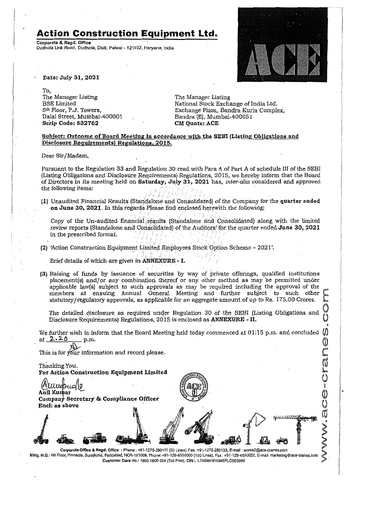# **Action Construction Equipment Ltd.**

Corporate & Regd. Office Dudhola Link Road, Dudhola, Dist!. Palwal- 121102, Haryana, India



 $\overline{\phantom{a}}$  $\bigcup$ 

Q

Date: July 31,2021

To, The Manager Listing **BSE** Limited 5th Floor, P.J. Towers, Dalal Street, Mumbai-400001 Scrip Code: 532762

The Manager Listing National Stock Exchange of India Ltd. Exchange Plaza, Bandra Kurla Complex, Bandra (El, Mumbai-400051 CM Quote: ACE

#### Subject: Outcome of Board Meeting in accordance with the SEBI (Listing Obligations and Disclosure Requirements) Regulations, 2015.

Dear Sir/Madam,

Pursuant to the Regulation 33 and Regulation 30 read with Para A of Part A of schedule III of the SEBI (ListingObligations and Disclosure Requirements) Regulations, 2015, we hereby inform that the Board of Directors in its meeting held on Saturday, Ju,ly 31, 2021 has, *inter-alia* considered and approved the following items:  $\frac{d}{dx}$  following items:

n June 30, 2021. In this regards Please find enclosed herewith the following: (1) Unaudited Financial Results (Standalone and Consolidated) of the Company for the quarter ended

Copy of the Un-audited financial results (Standalone and Consolidated) along with the limited refly of the off didned imaked found points (Standalone and Schoolidated) diong well with the image.  $\frac{1}{100}$  in the prescribed format.  $\frac{1}{100}$  is  $\frac{1}{100}$  in the statistic  $\frac{1}{100}$ 

.) 'Action Construction Equipment Limited Employees Stock Option Scheme - 2021'.

Brief details of which are given in ANNEXURE - I.

(3) Raising of funds by issuance of securities by way of private offerings, qualified institutions placement(s) and/or any combination thereof or any other method as may be permitted under applicable law(s) subject to such approvals as may be required including the approval of the members at ensuing, Annual General Meeting and further subject to such other statutory/regulatory approvals, as applicable for an aggregate amount of up to Rs. 175.00 Crores.

The detailed disclosure as required under Regulation 30 of the SEBI (Listing Obligations and Disclosure Requirements) Regulations, 2015 is enclosed as **ANNEXURE** - II.

We further wish to *inform* that the Board Meeting held today commenced at 01:15 p.m. and concluded at 2,. • .2. 0: p.m. 0

This is for your information and record please.

Thanking You. For Action Construction Equipment Limited

Allwebuo (10)<br>Anii Kumar Company Secretary & Compliance Officer Encl: as above

Corporate Office & Regd. Office : Phone: +91-1275-280111 (50 Lines), Fax:+91-1275-280133, E-mail: works2@ace-cranes.com Mktg, H.Q.: 4th Floor, Pinnacle, Surajkund, Faridabad, NCR·121009, Phone: +91-129·4550000 (100 Lines), Fax: +91-129-4550022, E-mail: marketing@ace·cranes.com Customer Cara No.: 1800 1800 004 (Toll Free), CIN: L74899HR1995PLC053860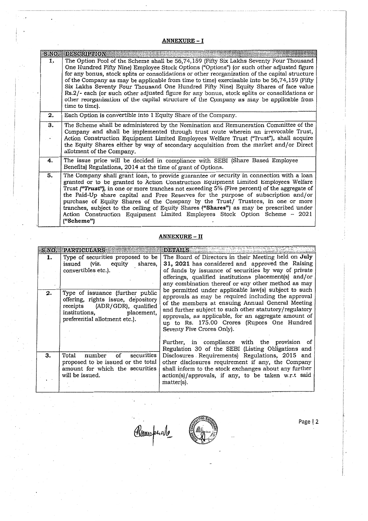## ANNEXURE- I

|    | S.NO. DESCRIPTION                                                                                                                                                                                                                                                                                                                                                                                                                                                                                                                                                                                                                                                                       |
|----|-----------------------------------------------------------------------------------------------------------------------------------------------------------------------------------------------------------------------------------------------------------------------------------------------------------------------------------------------------------------------------------------------------------------------------------------------------------------------------------------------------------------------------------------------------------------------------------------------------------------------------------------------------------------------------------------|
| 1. | The Option Pool of the Scheme shall be 56,74,159 (Fifty Six Lakhs Seventy Four Thousand<br>One Hundred Fifty Nine) Employee Stock Options ("Options") (or such other adjusted figure<br>for any bonus, stock splits or consolidations or other reorganization of the capital structure<br>of the Company as may be applicable from time to time) exercisable into be 56,74,159 (Fifty<br>Six Lakhs Seventy Four Thousand One Hundred Fifty Nine) Equity Shares of face value<br>Rs.2/- each (or such other adjusted figure for any bonus, stock splits or consolidations or<br>other reorganization of the capital structure of the Company as may be applicable from<br>time to time). |
| 2. | Each Option is convertible into 1 Equity Share of the Company.                                                                                                                                                                                                                                                                                                                                                                                                                                                                                                                                                                                                                          |
| 3. | The Scheme shall be administered by the Nomination and Remuneration Committee of the<br>Company and shall be implemented through trust route wherein an irrevocable Trust,<br>Action Construction Equipment Limited Employees Welfare Trust ("Trust"), shall acquire<br>the Equity Shares either by way of secondary acquisition from the market and/or Direct<br>allotment of the Company.                                                                                                                                                                                                                                                                                             |
| 4. | The issue price will be decided in compliance with SEBI (Share Based Employee<br>Benefits) Regulations, 2014 at the time of grant of Options.                                                                                                                                                                                                                                                                                                                                                                                                                                                                                                                                           |
| 5. | The Company shall grant loan, to provide guarantee or security in connection with a loan<br>granted or to be granted to Action Construction Equipment Limited Employees Welfare<br>Trust ("Trust"), in one or more tranches not exceeding 5% (Five percent) of the aggregate of<br>the Paid-Up share capital and Free Reserves for the purpose of subscription and/or<br>purchase of Equity Shares of the Company by the Trust/ Trustees, in one or more<br>tranches, subject to the ceiling of Equity Shares ("Shares") as may be prescribed under<br>Action Construction Equipment Limited Employees Stock Option Scheme - 2021<br>("Scheme")                                         |

## ANNEXURE - II

|    | S.NO. PARTICULARS                  | <b>DETAILS</b>                                                                                          |
|----|------------------------------------|---------------------------------------------------------------------------------------------------------|
| 1. | Type of securities proposed to be  | The Board of Directors in their Meeting held on July                                                    |
|    | issued (viz. equity shares,        | 31, 2021 has considered and approved the Raising                                                        |
|    | convertibles etc.).                | of funds by issuance of securities by way of private                                                    |
|    |                                    | offerings, qualified institutions placement(s) and/or                                                   |
|    |                                    | any combination thereof or any other method as may                                                      |
| 2. | Type of issuance (further public   | be permitted under applicable law(s) subject to such                                                    |
|    | offering, rights issue, depository | approvals as may be required including the approval<br>of the members at ensuing Annual General Meeting |
|    | receipts (ADR/GDR), qualified      | and further subject to such other statutory/regulatory                                                  |
|    | institutions, placement,           | approvals, as applicable, for an aggregate amount of                                                    |
|    | preferential allotment etc.).      | up to Rs. 175.00 Crores (Rupees One Hundred                                                             |
|    |                                    | Seventy Five Crores Only).                                                                              |
|    |                                    |                                                                                                         |
|    |                                    | Further, in compliance with the provision of                                                            |
|    |                                    | Regulation 30 of the SEBI (Listing Obligations and                                                      |
| 3. | of securities<br>number<br>Total   | Disclosures Requirements) Regulations, 2015 and                                                         |
|    | proposed to be issued or the total | other disclosures requirement if any, the Company                                                       |
|    | amount for which the securities    | shall inform to the stock exchanges about any further                                                   |
|    | will be issued.                    | action(s)/approvals, if any, to be taken w.r.t said                                                     |
|    |                                    | matter(s).                                                                                              |
|    |                                    |                                                                                                         |

Recorder



Page | 2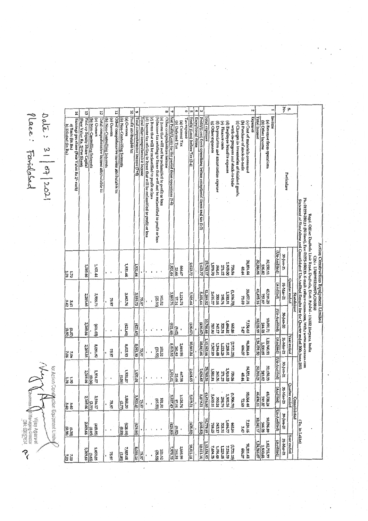$\frac{5}{2}$  . Α N  $\overline{5}$ Ę 14 ដ  $\overline{5}$ Paid up Equity Share Capital<br>[Face Value Rs. 2/Per Share] Total comprehensive income attributable to: Other comprehensive income attributable to: Profit attributable to: Net Profit/(Loss) for the period from operations (5-6)<br>Other comprehensive income  $\rm Predict(VLoss)$  from operations before exceptional items and tax (1-2) Exceptional items Expenses Income (a) Nems that will not be reclassified to profit or loss<br>(b)Income tax relating to Items that will not be reclassified to profit or loss Total Income Total comprehensive income (7+8) [c] Items that will be reclassified to profit or loss Tax expense (d) Income tax relating to Items that will be reclassified to profit or loss Profiv (Loss) before Tax (3-4) Total expenses Earnings per share (Face Value Rs 2/- each) (b) Non-Controlling Interests (a) Owners (b) Non-Controlling Interests (a) Owners (b) Non-Controlling Interests (a) Owners Total other comprehensive income (a) Revenue from operations<br>(b) Other Income (a) Current Tax (f) Depreciation and amortisation expense (e) Finance costs (d) Employee benefits expense (c) Changes in inventories of finished goods (b) Purchase of stock-in-trade (a) Cost of materials consumed (g) Other expenses (b) Deferred Tax a) Basic (in Rs.)<br>b) Diluted (in Rs.) work-in-progress and stock-in-trade Particulars Regd. Office: Dadhola Link Road, Dudhola, Distt. Palval - 121102 Haryana, India<br>Phr. 01275-280111 (50 lines), Fax: 01275-280135. E-mail: cs@ace-cranes.com, Web.: www.ace-cranes.com Statement of Standalone and Consolidated Un-Audited Results for the Quarter ended 30th June 2021 Action Construction Equipment Limited (Un-Audited)  $20$ -lun-21 09889007d266EXH668b471: NLO 32,150.12<br>236.82 24,851.64 32,386.94 29,763.17 1,909.00<br>271.22<br>364.61  $2,623.77$ 2,623.77 04'845'L **1,931.44** 1,931.44 1,931.44 99'62 2,269.66 1,931.44 666.67<br>25.66 FF'8F  $\ddot{\phantom{0}}$  $\frac{1.70}{2.5}$ **Quarter** ended (Audited) 31-Mar-21 38,057.75<br>27.175 55.737.87<br>157.87 46,495.16  $\frac{37.2883.76}{3.883.76}$ 5,105.64 5,105.64 1,900.51  $0.306'1$ 11,389.52 2.616.27 3,883.76 298.76 3,959.73 350.24 **Standalone** 3,959.73 2,269.66  $101.52$ <br>(25.55) 75.97 75.97  $\cdot$  $\frac{342}{42}$ Un-Audited) [ (Audited) [Un-Audited] [ (Audited) [Un-Audited]  $30 - 100 - 20$ 10,091.71<br>|-<br>| 84.28 נטיאנו'ג<br>געוויג 10,35.99 1,484.82  $\frac{(3.02)}{(421.65)}$ (430.67) 0,766.66 343.17 328.31 665.86 (430.67) 2,269.66  $(421.65)$  $(59'17')$  $(321.65)$ 287.00 **1937**  $\ddot{\phantom{0}}$  $\cdot$  $\begin{array}{|l|}\n\hline\n031230831 \\
\hline\n142423159 \\
\hline\n\end{array}$ 31-Mar-21 Year ended 1,13,383.66 40'909<br>FFTOC'86 10,847.84 10,847.84  $(2,721.25)$ 1,394.48 1,223.28 7,208.81  $\frac{2669.98}{8,015.93}$ 7,367.83 06160'8 06'160'8 8,015.93 2,269.66  $\frac{101.52}{(25.55)}$ 75.97 75.97  $\overline{\phantom{a}}$ 2.06<br>7.06 30-Jun-21 32,150.39<br>242.82 24,851.64 32,393.21 2,624.65 29,768.56 18181 1,910.33 2,624.65 10.06)<br>2,269.66 1,931.07 TO 1867 1,931.01 739.56 1,931.07 365.56 667.98<br>25.66 271.22 48.44  $(0.06)$  $\frac{u}{2u}$ × Quarter ended 31-Mar-21 **25.738.74**<br>157.857.87 33,064.44<br>PLP0,85 46,496.11 41,416.80  $02'906'1$ 51.724.74<br>57.24.74 3,860.20<br>|<br>|2.77) 5,079.31 5,079.31 2.635.21 1,902.16 298.76  $\frac{(2.77)}{2.269.66}$ 3,857.43 350.24 3,936.17 3,933.40  $101.52$ <br>(25.55) Consolidated 75.97 75.97  $\overline{\phantom{a}}$  $rac{36}{360}$ 30-Jun-20  $\frac{54428}{10.34117}$ <br>  $\frac{74428}{10.34117}$ 7,154.16<br>3.47 1,486.77 (Rs. In Lakhs) 66'622'0  $\begin{array}{c} (428.95) \ (0.85) \ (0.85) \end{array}$  $(428.95)$  $(438.82)$  $(438.82)$ 798.25 343.17  $(929.80)$ 128.31 98'599  $(429.80)$  $\frac{0.38}{10.381}$  $(5.02)$ J Year ended 31-Mar-21  $1,22,715.39$ (Audited) 1,24,246.07 1,13,434.93 20.909<br>8711.436 10,811.14  $(2,721.25)$ 10,811.14 7,404.28 1,223.28 7,216.59 330.68 2,669.98 7,979.23 89.48 3.269.66 8,059.05 7,983.08 8,055.20 101.52  $(25.55)$ 75.97 75.97  $7.03$ (385)

Place: Fandosad Dala:  $31 | 57 | 202 |$ 

for Action Constitution Equipment Limited **Rewriting Year** 

**Prop**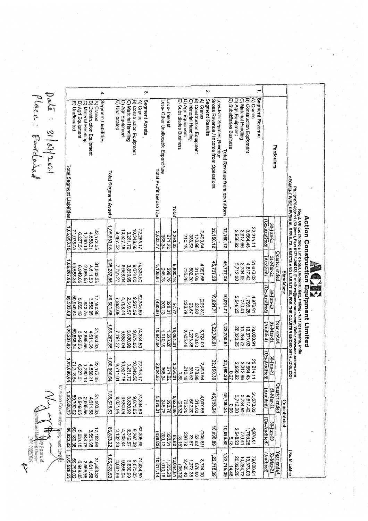for Adfon Construction Equipment Limi Armonde Company **Community**<br>Andrew Oregons Action

Dalā: 21/07/2021<br>Place: Favidasid

|                           |                |                   |                      |                           |           | 4,                  |                      |                |                      |                      |                                              | دع                          |                         |                                                      |                              |                          |                   |                      |                           |           | Ņ                                                         |             |                               | m                     |                      |                      |                           | ÷,                           |                |                          |               |                   |                                                                                           |                                                                                                                                                                                                                                                                                                  |                                              |  |
|---------------------------|----------------|-------------------|----------------------|---------------------------|-----------|---------------------|----------------------|----------------|----------------------|----------------------|----------------------------------------------|-----------------------------|-------------------------|------------------------------------------------------|------------------------------|--------------------------|-------------------|----------------------|---------------------------|-----------|-----------------------------------------------------------|-------------|-------------------------------|-----------------------|----------------------|----------------------|---------------------------|------------------------------|----------------|--------------------------|---------------|-------------------|-------------------------------------------------------------------------------------------|--------------------------------------------------------------------------------------------------------------------------------------------------------------------------------------------------------------------------------------------------------------------------------------------------|----------------------------------------------|--|
|                           | E) Unallocated | D) Agri Equipment | C) Material Handling | B) Construction Equipment | A) Cranes | Segment Liabilities |                      | E) Unallocated | D) Agri Equipment    | C) Material Handling | B) Construction Equipment                    | Segment Assets<br>A) Cranes |                         | Less-Interest<br>Less- Other Unallocable Expenditure |                              | E) Subsidiaries Business | D) Agri Equipment | C) Material Handling | B) Construction Equipment | A) Cranes | Segment Results<br>Gross Revenue / Income from Operations |             | Less-Inter Segment Revenue    | Subsidiaries Business | D) Agri Equipment    | C) Material Handling | B) Construction Equipment | Segment Revenue<br>A) Cranes |                |                          | Particulars   |                   |                                                                                           |                                                                                                                                                                                                                                                                                                  |                                              |  |
| Total Segment Liabilities |                |                   |                      |                           |           |                     | Total Segment Assets |                |                      |                      |                                              |                             | Total Profit before Tax |                                                      | Total                        |                          |                   |                      |                           |           |                                                           |             | Total Revenue from operations |                       |                      |                      |                           |                              |                |                          |               |                   | <b>SEGMENT SHOE REVENCE, RESCILTS, ASSETS AND LIABILITIES, FOR THE QUARTER ENDED SOLT</b> |                                                                                                                                                                                                                                                                                                  |                                              |  |
| 1,05,853.15               | 71,075.05      | 6,227.31          | 1,790.13             | 4,588.31                  | 22,172.35 |                     | 1,05,853.15          | 3,467.52       | 10,527.18            | 3,261.72             | 10,343.56                                    | 72,253.17                   | 2,623.77                | 368.34<br>271.22                                     | 3,263.33                     |                          | 210.18            | 383.53               | 178.98                    | 2,490.64  |                                                           | 32,150.12   | 32,150.12                     |                       | 2,958.92             | 3,312.66             | 3,664.43                  | 22,214.11                    | Un-Audited)    | 30-Jun-21                |               |                   |                                                                                           |                                                                                                                                                                                                                                                                                                  |                                              |  |
| 1,05,287.85               | 59,558.34      | 6,949.05          | 2,665.55             | 4,611.58                  | 31,503.33 |                     | 1,05,287.85          | 7,791.27       | 9,658.04             | 3,830.99             | 9,673.05                                     | 74,334.50                   | 5,105.64                | 245.78<br>298.76                                     | 5,650.18                     |                          | 735.26            | 502.20               | 315.06                    | 4,097.66  | 45,737.29                                                 |             | 45,737.29                     |                       | 3,734.65<br>5,712.20 |                      | 4,617.42                  | 31,673.02                    | (Audited)      | 31-Mar-21                | Quarter ended | <b>Standalone</b> |                                                                                           | Ph.: 01275-280111 (50 lines), Fax: 01275-280133. E-mail: cs@ace-cranes.com, Web.: www.ace-cranes.com<br><sup>steu</sup> r wist RPVENUE. RESULTS. ASSETS AND LIABILITIES, FOR THE QUARTER ENDED 30TH JUNE,2021<br>Regd. Office: Dudhola Link Road, Dudhola, Distt. Palwal - 121102 Haryana, India | <b>Action Construction Equipment Limited</b> |  |
| 86,583.68                 | 59,949.84      | 5,050.18          | 843.75               | 3,556.95                  | 17,182.98 |                     | 86,583.68            | 7,892.69       | 4,798.44             | 2,319.57             | 8,267.39                                     | 62,305.59                   | 430.67                  | 200.13<br>328.31                                     | 22.78                        |                          | 226.79            | 23.87                | 26'29                     | (205.81)  | 10,091.71                                                 |             | 10,091.71                     |                       | 2,548.23             | 770.41               | 1,796.26                  | 4,976.81                     | (Un-Audited)   | 30-Jun-20                |               |                   |                                                                                           |                                                                                                                                                                                                                                                                                                  |                                              |  |
| 1,05,287.85               | 59,558.34      | 6,949.05          | 2,665.55             | 4,611.58                  | 31,503.33 |                     | 1,05,287.85          | 7.791.27       | 9,658.04             | 3,830.99             | 9,673.05                                     | 74,334.50                   | 10,847.84               | 1,010.19<br>1,223.28                                 | 13,081.31                    |                          | 2,405.46          | 1,273.35             | 098.50                    | 8,724.00  |                                                           | 1,22,700.91 | 1,22,700.91                   |                       | 20,022.25            | 10,284.72            | 13,373.03                 | 79,020.91                    | (Audited)      | 31-Mar-21                | Year ended    |                   |                                                                                           |                                                                                                                                                                                                                                                                                                  |                                              |  |
| 1,06,096.64               | 71,318.54      | 6,227.31          | 1,790.13             | 4,588.31                  | 22,172.35 |                     | ,06,096.64           | 9,711.01       | 10,527.18            | 3,261.72             | 10,343.56                                    | 72,253.17                   | 2,624.65                | 368.34                                               | ىيى<br>$rac{264.21}{271.22}$ | 0.88                     | 210.18            | 383.53               | 178.98                    | 2,490.64  | 32,150.39                                                 |             | 32,150.39                     | 72.0                  | 2,958.92             | 3.312.66             | 3,664.43                  | 22.214.11                    | (Un-Audited)   | 30-Jun-21                |               |                   |                                                                                           |                                                                                                                                                                                                                                                                                                  |                                              |  |
| 1,05,528.53               | 20'662'69      |                   | 2,665.55<br>6,949.05 | 31,503.33<br>4,611.58     |           |                     | 1,05,528.53          | 8,031,95       |                      | 3,830.99<br>9,658.04 | 9,673.05                                     | 74,334.50                   | 5,079.31                | 298.76<br>245,78                                     | 5,623.85                     | (26.33)                  | 735.26            | 502.20               | 315.06                    | 4,097.66  | 45,738.24                                                 |             | 45,738.24                     | 560                   | 5,712.20             | 3,734.65             | 31,673.02<br>4,617.42     |                              | <b>Audited</b> | 31-Mar-21                | Quarter ended | Consolidated      |                                                                                           |                                                                                                                                                                                                                                                                                                  |                                              |  |
| 86,823.22                 | 60,189.38      | 5,050.18          |                      | 3,556.95<br>843.75        | 17,182.98 |                     | 86,823.22            | 8,132.23       | 2,319.57<br>4,798.44 |                      | 9,267.39                                     | 62,305.59                   | 438.82)                 | 200.13<br>328.31                                     | Z9'68                        | (8.15)                   | 226.79            | 23.87                | 25.92                     | (205.81)  | 10,096.89                                                 |             | 10,096.89                     | 2,548.23<br>-- 5.18   |                      | 770.41               | 1,796.26                  | 4,976.81                     |                | 30-Jun-20<br>Un-Audited) |               |                   |                                                                                           |                                                                                                                                                                                                                                                                                                  |                                              |  |
| 1,05,528.53               | 20'68'89       | 6,949.05          | 2,665.55             | 4,611.58                  | 31,503.33 |                     | 1,05,528.53          |                |                      |                      | 9.673.05<br>3,830.94<br>9,658.04<br>8,031.95 | 74,334.50                   | 10,811.14               | 1,010.19<br>1,223.28                                 | 3,044.61                     | (36.70)                  | 2,405.46          | 1,273.35             | 098.50                    | 8,724.00  | 1,22,715.39                                               |             | 1,22,715.39                   | 14.48                 | 20,022.25            | 10,284.72            | 79,020.91<br>13,373.03    |                              | Audited)       | 31-Mar-21                | Year ended    |                   | Rs. In Lakhs)                                                                             |                                                                                                                                                                                                                                                                                                  |                                              |  |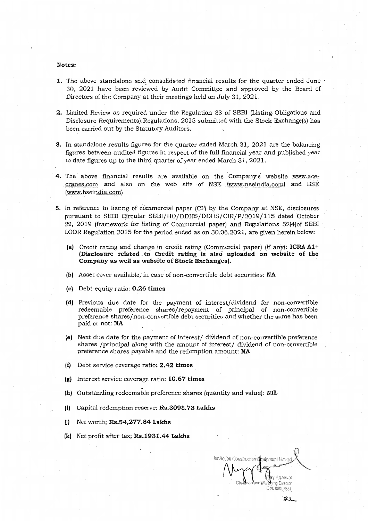### Notes:

- 1. The above standalone and consolidated financial results for the quarter ended June · 30, 2021 have been reviewed by Audit Committee and approved by the Board of Directors of the Company at their meetings held on July 31,2021.
- 2. Limited Review as required under the Regulation 33 of SEBI (Listing Obligations and Disclosure Requirements). Regulations, 2015 submitted with the Stock Exchange(s) has been carried out by the Statutory Auditors.
- 3. In standalone results figures for the quarter ended March 31, 2021 are the balancing figures between audited figures in respect of the full financial year and published year to date figures up to the third quarter of year ended March 31, 2021.
- 4. The above financial results are available on the Company's website www.ace $c$  cranes.com and also on the web site of NSE  $(www.nseindia.com)$  and BSE (www.hseindia.com)
- 5. In reference to listing of commercial paper (CP) by the Company at NSE, disclosures pursuant to SEBI Circular SEBI/HO/DDHS/DDHS/CIR/P/2019/115 dated October 22, 2019 (framework for listing of Commercial paper) and Regulations 52(4) of SEBI LODR Regulation 2015 for the period ended as on 30.06.2021, are given herein below:
	- (a) Credit rating and change in credit rating (Commercial paper) (if any): **ICRA A1+** (Disclosure related to Credit rating is also uploaded on website of the Company as well as website of Stock Exchanges).
	- (b) Asset cover available, in case of non-convertible debt securities: NA
	- (e) Debt-equity ratio: 0.26 times
	- (d) Previous due date for the payment of interest/dividend for non-convertible redeemable preference shares/repayment of principal of non-convertible preference shares/non-convertible debt securities and whether the same has been paid or not: NA
	- [e] Next due date for the payment of interest/ dividend of non-convertible preference shares /principal along with the amount of interest/ dividend of non-convertible preference shares payable and the redemption amount: NA
	- $(f)$  Debt service coverage ratio: 2.42 times
	- $(g)$  Interest service coverage ratio: 10.67 times
	- (h) Outstanding redeemable preference shares (quantity and value): NIL
	- (i) Capital redemption reserve: Rs.3098.73 Lakhs
	- (i) Net worth;  $\text{Rs.}54,277.84$  Lakhs
	- (k) Net profit after tax; Rs.1931.44 Lakhs

or Action Construction (Indianent Lin aarwal a Öírector 300 00057634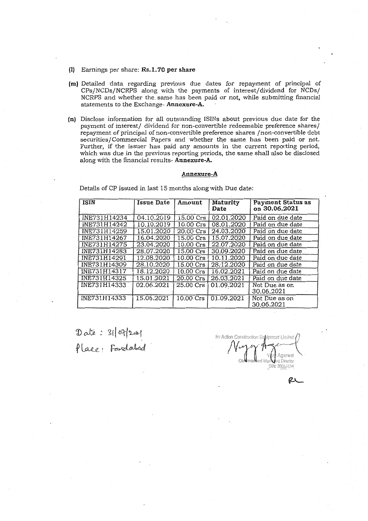- (1) Earnings per share: Rs.1.70 per share
- (m) Detailed data regarding previous due dates for repayment of principal of CPs/NCDs/NCRPS along with the payments of interest/dividend for NCDs/ NCRPS and whether the same has been paid or not, while submitting financial statements to the Exchange-Annexure-A.
- (n) Disclose information for all outstanding ISINs about previous due date for the payment of interest/ dividend for non-convertible redeemable preference shares/ repayment of principal of non-convertible preference shares /non-convertible debt securities/Commercial Papers and whether the same has been paid or not. Further, if the issuer has paid any amounts in the current reporting period. which was due in the previous reporting periods, the same shall also be disclosed along with the financial results-Annexure-A.

### Annexure-A

Details of CP issued in last 15 months along with Due date:

| <b>ISIN</b>  | Issue Date | Amount              | <b>Maturity</b><br>Date | Payment Status as<br>on 30.06.2021 |  |  |  |  |  |  |  |  |  |
|--------------|------------|---------------------|-------------------------|------------------------------------|--|--|--|--|--|--|--|--|--|
| INE731H14234 | 04.10.2019 | 15.00 Crs           | 02.01.2020              | Paid on due date                   |  |  |  |  |  |  |  |  |  |
| INE731H14242 | 10.10.2019 | $10.00 \text{ Crs}$ | 08.01.2020              | Paid on due date                   |  |  |  |  |  |  |  |  |  |
| INE731H14259 | 15.01.2020 | 20.00 Crs           | 24.03.2020              | Paid on due date                   |  |  |  |  |  |  |  |  |  |
| INE731H14267 | 16.04.2020 | 15.00 Crs           | 15.07.2020              | Paid on due date                   |  |  |  |  |  |  |  |  |  |
| INE731H14275 | 23.04.2020 | $10.00$ Crs         | 22.07.2020              | Paid on due date                   |  |  |  |  |  |  |  |  |  |
| INE731H14283 | 28.07.2020 | 15.00 Crs           | 30.09.2020              | Paid on due date                   |  |  |  |  |  |  |  |  |  |
| INE731H14291 | 12.08.2020 | $10.00$ Crs         | 10.11.2020              | Paid on due date                   |  |  |  |  |  |  |  |  |  |
| INE731H14309 | 28.10.2020 | $15.00$ Crs         | 28.12.2020              | Paid on due date                   |  |  |  |  |  |  |  |  |  |
| INE731H14317 | 18.12.2020 | 10.00 Crs           | 16.02.2021              | Paid on due date                   |  |  |  |  |  |  |  |  |  |
| INE731H14325 | 15.01.2021 | .20.00 Crs          | 26.03.2021              | Paid on due date                   |  |  |  |  |  |  |  |  |  |
| INE731H14333 | 02.06.2021 | 25.00 Crs           | 01.09.2021              | Not Due as on<br>30.06.2021        |  |  |  |  |  |  |  |  |  |
| INE731H14333 | 15.06.2021 |                     | 10.00 Crs   01.09.2021  | Not Due as on<br>30.06.2021        |  |  |  |  |  |  |  |  |  |

Date: 31/07/2021<br>Place: Fandabad

.<br>For Action Construction Eabioment Limited nomol. rdon Brartor DIN: 00057634

ex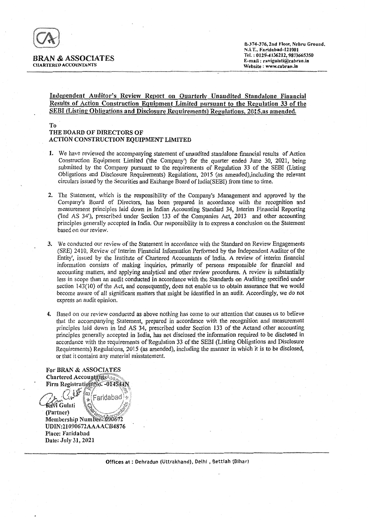

#### BRAN & ASSOCIATES CHARTERED ACCOUNTANTS

## Independent Auditor's Review Report on Quarterly Unaudited Standalone Financial Results of Action Construction Equipment Limited pursuant to the Regulation 33 of the SEBI (Listing Obligations and Disclosure Requirements) Regulations, 2015, as amended.

## To THE BOARD OF DIRECTORS OF ACTION CONSTRUCTION EQUIPMENT LIMITED

- 1. We have reviewed the accompanying statement of unaudited standalone financial results of Action Construction Equipment Limited ('the Company') for the quarter ended June 30, 2021, being submitted by the Company pursuant to the requirements of Regulation 33 of the SEBI (Listing Obligations and Disclosure Requirements) Regulations, 2015 (as amendedj.including the relevant circulars issued by the Securities and Exchange Board of India(SEBI) from time to time.
- 2. The Statement, which is the responsibility of the Company's Management and approved by the Company's Board of Directors, has been prepared in accordance with the recognition and measurement principles laid down in Indian Accounting Standard 34, Interim Financial Reporting (Tnd AS 34'), prescribed under Section 133 of the Companies Act, 2013 and other accounting principles generally accepted in India. Our responsibility is to express a conclusion on the Statement based on our review.
- 3. We conducted our review of the Statement in accordance with the Standard on Review Engagements (SRE) 2410, Review of Interim Financial Information Performed by the Independent Auditor of the Entity', issued by the Institute of Chartered Accountants of India. A review of interim financial information consists of making inquiries, primarily of persons responsible for financial and accounting' matters, and applying analytical and other review procedures. A review is substantially less in scope than an audit conducted in accordance with the Standards on Auditing specified under section 143(10) of the Act, and consequently, does not enable us to obtain assurance that we would become aware of all significant matters that might be identified in an audit. Accordingly, we do not express an audit opinion.
- 4. Based on our review conducted as above nothing has come to our attention that causes us to believe that the accompanying Statement, prepared in accordance with the recognition and measurement principles laid down in Ind AS 34, prescribed under Section 133 of the Actand other accounting principles generally accepted in India, has not disclosed the information required to be disclosed in accordance with the requirements of Regulation 33 of the SEBI (Listing Obligations and Disclosure Requirements) Regulations, 2015 (as amended), including the manner in which it is to be disclosed, or that it contains any material misstatement.

For BRAN & ASSOCIATES Chartered AccountantsAss Firm Registration No. - 014544) */7)~a~W* Faridabad **Ravi Gulati** . (Partner) Membership Numbers 000672 UDIN:21090672AAAACB4876 Place: Faridabad

Date: July 31, 2021

Offices at: Dehradun (Uttrakhand), Delhi, Bettiah (Bihar)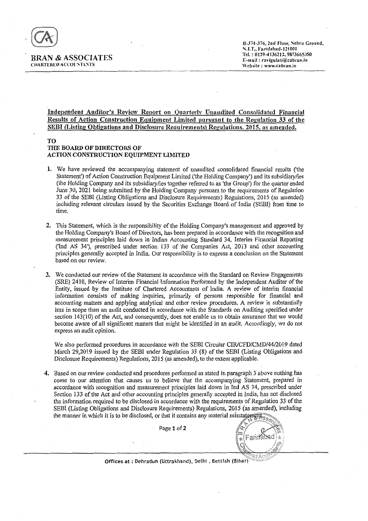

#### BRAN & ASSOCIATES CHARTERED ACCOUNTANTS

8-374-376, 2nd Floor, Nehru Ground, *1'.1.T.,* Faridabad-121001 Tel.·: 0129-4136212.9873665350 E-mail: ravigulati@cabran.in Website: www.cabran.in

## Independent Auditor's Review Report on Ouarterly Unaudited Consolidated Financial Results of Action Construction Equipment Limited pursuant to the Regulation 33 of the SEBI (Listing Obligations and Disclosure Requirements) Regulations, 2015, as amended.

#### TO

## THE BOARD OF DIRECTORS OF ACTION CONSTRUCTION EQUIPMENT LIMITED

- 1. We have reviewed the accompanying statement of unaudited consolidated financial results {'the Statement') of Action Construction Equipment Limited ('the Holding Company') and its subsidiary/ies (the Holding Company and its subsidiary/iestogether referredto as 'the Group') for the quarter ended June 30, 2021 being submitted by the Holding Company pursuant to the requirements of Regulation 33 of the SEBI (Listing Obligations and Disclosure Requirements) Regulations, 2015 (as amended) including relevant circulars issued by the Securities Exchange Board of India (SEBI) from time to time.
- 2. This Statement, which is the responsibility of the Holding Company's management and approved by the Holding Company's Board of Directors, has been prepared in accordance with the recognitionand measurement principles laid down in Indian Accounting Standard 34, Interim Financial Reporting ('Ind AS 34'), prescribed under section 133 of the Companies Act, 2013 and other accounting principles generally accepted in India. Our responsibility is to express a conclusion on the Statement based on our review.
- 3. We conducted our review of the Statement in accordance with the Standard on Review Engagements (SRE) 2410, Review of Interim Financial Information Performed by the Independent Auditor of the Entity, issued by the Institute of Chartered Accountants of India. A review of interim financial information consists of making inquiries, primarily of persons responsible for financial and accounting matters and applying analytical and other review procedures. A review is substantially less in scope than an audit conducted in accordance with the Standards on Auditing specified under section 143(10) of the Act, and consequently, does not enable us to obtain assurance that we would become aware of all significant matters that might be identified in an audit. Accordingly, we do not express an audit opinion.

We also performed procedures in accordance with the SEBI Circular *CIRlCFD/CMD/44/2019* dated March 29,2019 issued by the SEBI under Regulation 33 (8) of the SEBl (Listing Obligations and Disclosure Requirements) Regulations, 2015 (as amended), to the extent applicable.

4. Based on our review conducted and procedures performed as stated in paragraph 3 above nothing has come to our attention that causes us to believe that the accompanying Statement, prepared in accordance with recognition and measurement principles laid down *in* Ind AS 34, prescribed under Section 133 of the Act and other accounting principles generally accepted in India, has not disclosed the information required to be disclosed in accordance with the requirements of Regulation 33 of the SEBI (Listing Obligations and Disclosure Requirements) Regulations, 2015 (as amended), including the manner in which it is to be disclosed, or that it contains any material misstatements,

Page 1 of 2

്മ (Faricabad

Offices at : Dehradun (Uttrakhand), Delhi, Bettiah (Bihar)